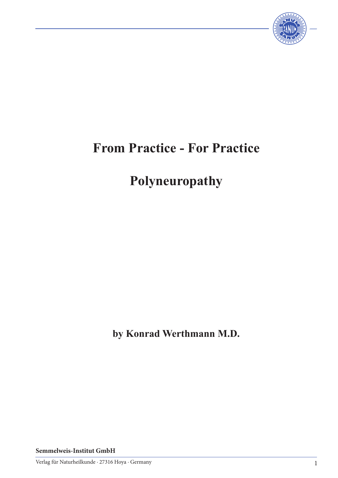

## **From Practice - For Practice**

# **Polyneuropathy**

**by Konrad Werthmann M.D.**

**Semmelweis-Institut GmbH**

Verlag für Naturheilkunde · 27316 Hoya · Germany 1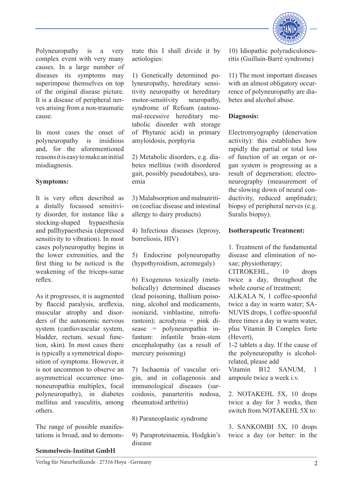

Polyneuropathy is a very complex event with very many causes. In a large number of diseases its symptoms may superimpose themselves on top of the original disease picture. It is a disease of peripheral nerves arising from a non-traumatic cause.

In most cases the onset of polyneuropathy is insidious and, for the aforementioned reasons it is easy to make an initial misdiagnosis.

#### **Symptoms:**

It is very often described as a distally focussed sensitivity disorder, for instance like a stocking-shaped hypaesthesia and pallhypaesthesia (depressed sensitivity to vibration). In most cases polyneuropathy begins in the lower extremities, and the first thing to be noticed is the weakening of the triceps-surae reflex.

As it progresses, it is augmented by flaccid paralysis, areflexia, muscular atrophy and disorders of the autonomic nervous system (cardiovascular system, bladder, rectum, sexual function, skin). In most cases there is typically a symmetrical disposition of symptoms. However, it is not uncommon to observe an asymmetrical occurrence (mononeuropathia multiplex, focal polyneuropathy), in diabetes mellitus and vasculitis, among others.

The range of possible manifestations is broad, and to demonstrate this I shall divide it by aetiologies:

1) Genetically determined polyneuropathy, hereditary sensitivity neuropathy or hereditary motor-sensitivity neuropathy, syndrome of Refsum (autosomal-recessive hereditary metabolic disorder with storage of Phytanic acid) in primary amyloidosis, porphyria

2) Metabolic disorders, e.g. diabetes mellitus (with disordered gait, possibly pseudotabes), uraemia

3) Malabsorption and malnutrition (coeliac disease and intestinal allergy to dairy products)

4) Infectious diseases (leprosy, borreliosis, HIV)

5) Endocrine polyneuropathy (hypothyroidism, acromegaly)

6) Exogenous toxically (metabolically) determined diseases (lead poisoning, thallium poisoning, alcohol and medicaments, isoniazid, vinblastine, nitrofurantoin); acrodynia = pink disease = polyneuropathia infantum: infantile brain-stem encephalopathy (as a result of mercury poisoning)

7) Ischaemia of vascular origin, and in collagenosis and immunological diseases (sarcoidosis, panarteritis nodosa, rheumatoid arthritis)

8) Paraneoplastic syndrome

9) Paraproteinaemia, Hodgkin's disease

10) Idiopathic polyradiculoneuritis (Guillain-Barré syndrome)

11) The most important diseases with an almost obligatory occurrence of polyneuropathy are diabetes and alcohol abuse.

#### **Diagnosis:**

Electromyography (denervation activity): this establishes how rapidly the partial or total loss of function of an organ or organ system is progressing as a result of degeneration; electroneurography (measurement of the slowing down of neural conductivity, reduced amplitude); biopsy of peripheral nerves (e.g. Suralis biopsy).

#### **Isotherapeutic Treatment:**

1. Treatment of the fundamental disease and elimination of noxae; physiotherapy;

CITROKEHL, 10 drops twice a day, throughout the whole course of treatment;

ALKALA N, 1 coffee-spoonful twice a day in warm water; SA-NUVIS drops, 1 coffee-spoonful three times a day in warm water, plus Vitamin B Complex forte (Hevert),

1-2 tablets a day. If the cause of the polyneuropathy is alcoholrelated, please add

Vitamin B12 SANUM, 1 ampoule twice a week i.v.

2. NOTAKEHL 5X, 10 drops twice a day for 3 weeks, then switch from NOTAKEHL 5X to:

3. SANKOMBI 5X, 10 drops twice a day (or better: in the

### **Semmelweis-Institut GmbH**